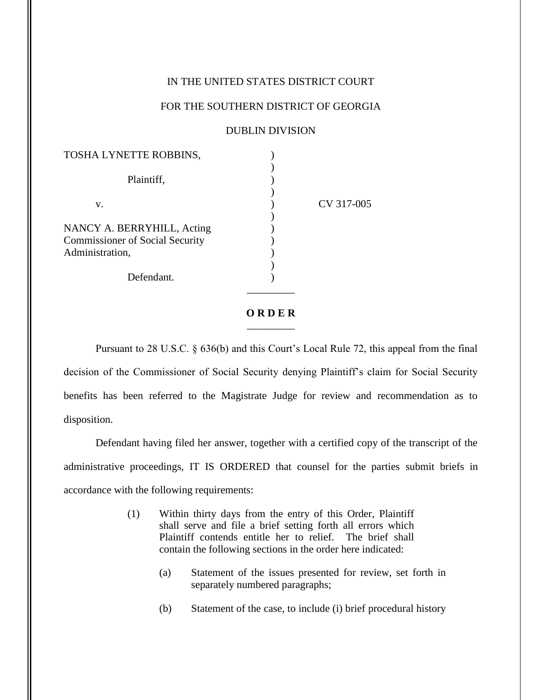## IN THE UNITED STATES DISTRICT COURT

## FOR THE SOUTHERN DISTRICT OF GEORGIA

## DUBLIN DIVISION

| CV 317-005 |
|------------|
|            |
|            |
|            |
|            |
|            |
|            |
|            |
|            |

## **O R D E R**  $\overline{\phantom{a}}$

Pursuant to 28 U.S.C. § 636(b) and this Court's Local Rule 72, this appeal from the final decision of the Commissioner of Social Security denying Plaintiff's claim for Social Security benefits has been referred to the Magistrate Judge for review and recommendation as to disposition.

Defendant having filed her answer, together with a certified copy of the transcript of the administrative proceedings, IT IS ORDERED that counsel for the parties submit briefs in accordance with the following requirements:

- (1) Within thirty days from the entry of this Order, Plaintiff shall serve and file a brief setting forth all errors which Plaintiff contends entitle her to relief. The brief shall contain the following sections in the order here indicated:
	- (a) Statement of the issues presented for review, set forth in separately numbered paragraphs;
	- (b) Statement of the case, to include (i) brief procedural history